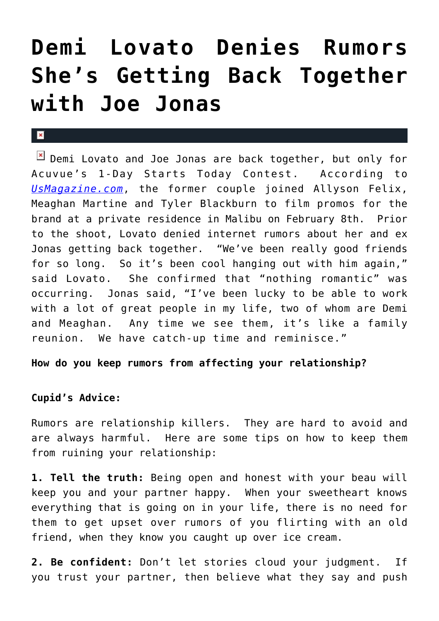## **[Demi Lovato Denies Rumors](https://cupidspulse.com/30006/demi-lovato-denies-rumors-back-together-ex-joe-jonas/) [She's Getting Back Together](https://cupidspulse.com/30006/demi-lovato-denies-rumors-back-together-ex-joe-jonas/) [with Joe Jonas](https://cupidspulse.com/30006/demi-lovato-denies-rumors-back-together-ex-joe-jonas/)**

## $\mathbf{R}$

 $\boxed{\times}$  Demi Lovato and Joe Jonas are back together, but only for Acuvue's 1-Day Starts Today Contest. According to *[UsMagazine.com](http://www.usmagazine.com/)*, the former couple joined Allyson Felix, Meaghan Martine and Tyler Blackburn to film promos for the brand at a private residence in Malibu on February 8th. Prior to the shoot, Lovato denied internet rumors about her and ex Jonas getting back together. "We've been really good friends for so long. So it's been cool hanging out with him again," said Lovato. She confirmed that "nothing romantic" was occurring. Jonas said, "I've been lucky to be able to work with a lot of great people in my life, two of whom are Demi and Meaghan. Any time we see them, it's like a family reunion. We have catch-up time and reminisce."

**How do you keep rumors from affecting your relationship?**

## **Cupid's Advice:**

Rumors are relationship killers. They are hard to avoid and are always harmful. Here are some tips on how to keep them from ruining your relationship:

**1. Tell the truth:** Being open and honest with your beau will keep you and your partner happy. When your sweetheart knows everything that is going on in your life, there is no need for them to get upset over rumors of you flirting with an old friend, when they know you caught up over ice cream.

**2. Be confident:** Don't let stories cloud your judgment. If you trust your partner, then believe what they say and push